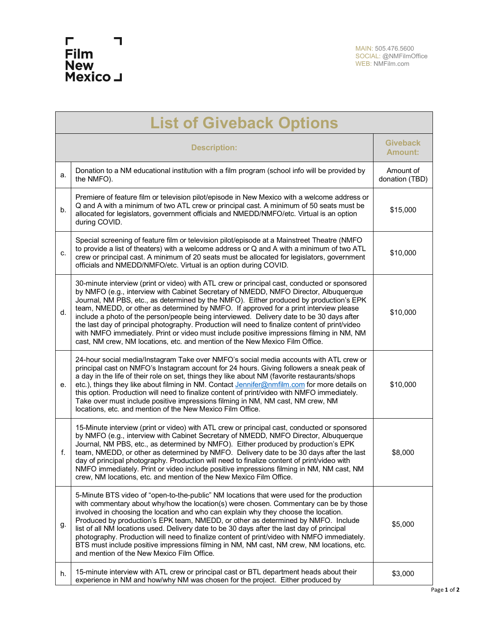

| <b>List of Giveback Options</b> |                                                                                                                                                                                                                                                                                                                                                                                                                                                                                                                                                                                                                                                                                                                                                     |                                   |  |
|---------------------------------|-----------------------------------------------------------------------------------------------------------------------------------------------------------------------------------------------------------------------------------------------------------------------------------------------------------------------------------------------------------------------------------------------------------------------------------------------------------------------------------------------------------------------------------------------------------------------------------------------------------------------------------------------------------------------------------------------------------------------------------------------------|-----------------------------------|--|
| <b>Description:</b>             |                                                                                                                                                                                                                                                                                                                                                                                                                                                                                                                                                                                                                                                                                                                                                     | <b>Giveback</b><br><b>Amount:</b> |  |
| a.                              | Donation to a NM educational institution with a film program (school info will be provided by<br>the NMFO).                                                                                                                                                                                                                                                                                                                                                                                                                                                                                                                                                                                                                                         | Amount of<br>donation (TBD)       |  |
| b.                              | Premiere of feature film or television pilot/episode in New Mexico with a welcome address or<br>Q and A with a minimum of two ATL crew or principal cast. A minimum of 50 seats must be<br>allocated for legislators, government officials and NMEDD/NMFO/etc. Virtual is an option<br>during COVID.                                                                                                                                                                                                                                                                                                                                                                                                                                                | \$15,000                          |  |
| C.                              | Special screening of feature film or television pilot/episode at a Mainstreet Theatre (NMFO<br>to provide a list of theaters) with a welcome address or Q and A with a minimum of two ATL<br>crew or principal cast. A minimum of 20 seats must be allocated for legislators, government<br>officials and NMEDD/NMFO/etc. Virtual is an option during COVID.                                                                                                                                                                                                                                                                                                                                                                                        | \$10,000                          |  |
| d.                              | 30-minute interview (print or video) with ATL crew or principal cast, conducted or sponsored<br>by NMFO (e.g., interview with Cabinet Secretary of NMEDD, NMFO Director, Albuquerque<br>Journal, NM PBS, etc., as determined by the NMFO). Either produced by production's EPK<br>team, NMEDD, or other as determined by NMFO. If approved for a print interview please<br>include a photo of the person/people being interviewed. Delivery date to be 30 days after<br>the last day of principal photography. Production will need to finalize content of print/video<br>with NMFO immediately. Print or video must include positive impressions filming in NM, NM<br>cast, NM crew, NM locations, etc. and mention of the New Mexico Film Office. | \$10,000                          |  |
| е.                              | 24-hour social media/Instagram Take over NMFO's social media accounts with ATL crew or<br>principal cast on NMFO's Instagram account for 24 hours. Giving followers a sneak peak of<br>a day in the life of their role on set, things they like about NM (favorite restaurants/shops<br>etc.), things they like about filming in NM. Contact Jennifer@nmfilm.com for more details on<br>this option. Production will need to finalize content of print/video with NMFO immediately.<br>Take over must include positive impressions filming in NM, NM cast, NM crew, NM<br>locations, etc. and mention of the New Mexico Film Office.                                                                                                                | \$10,000                          |  |
| f.                              | 15-Minute interview (print or video) with ATL crew or principal cast, conducted or sponsored<br>by NMFO (e.g., interview with Cabinet Secretary of NMEDD, NMFO Director, Albuquerque<br>Journal, NM PBS, etc., as determined by NMFO). Either produced by production's EPK<br>team, NMEDD, or other as determined by NMFO. Delivery date to be 30 days after the last<br>day of principal photography. Production will need to finalize content of print/video with<br>NMFO immediately. Print or video include positive impressions filming in NM, NM cast, NM<br>crew, NM locations, etc. and mention of the New Mexico Film Office.                                                                                                              | \$8,000                           |  |
| g.                              | 5-Minute BTS video of "open-to-the-public" NM locations that were used for the production<br>with commentary about why/how the location(s) were chosen. Commentary can be by those<br>involved in choosing the location and who can explain why they choose the location.<br>Produced by production's EPK team, NMEDD, or other as determined by NMFO. Include<br>list of all NM locations used. Delivery date to be 30 days after the last day of principal<br>photography. Production will need to finalize content of print/video with NMFO immediately.<br>BTS must include positive impressions filming in NM, NM cast, NM crew, NM locations, etc.<br>and mention of the New Mexico Film Office.                                              | \$5,000                           |  |
| h.                              | 15-minute interview with ATL crew or principal cast or BTL department heads about their<br>experience in NM and how/why NM was chosen for the project. Either produced by                                                                                                                                                                                                                                                                                                                                                                                                                                                                                                                                                                           | \$3,000                           |  |